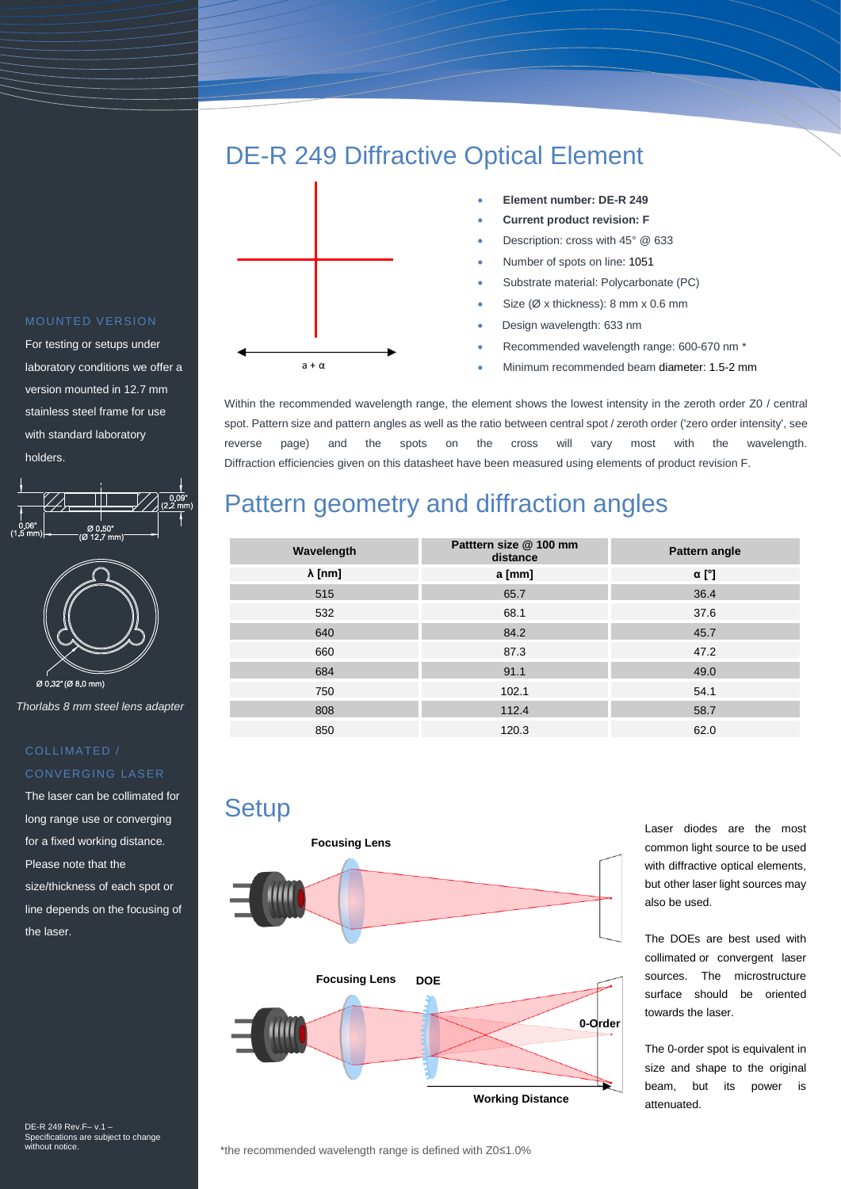## DE-R 249 Diffractive Optical Element



- **Element number: DE-R 249**
- **Current product revision: F**
- Description: cross with 45° @ 633
- Number of spots on line: 1051
- Substrate material: Polycarbonate (PC)
- Size (Ø x thickness): 8 mm x 0.6 mm
- Design wavelength: 633 nm
- Recommended wavelength range: 600-670 nm \*
- Minimum recommended beam diameter: 1.5-2 mm

Within the recommended wavelength range, the element shows the lowest intensity in the zeroth order Z0 / central spot. Pattern size and pattern angles as well as the ratio between central spot / zeroth order ('zero order intensity', see reverse page) and the spots on the cross will vary most with the wavelength. Diffraction efficiencies given on this datasheet have been measured using elements of product revision F.

## Pattern geometry and diffraction angles

| Wavelength     | Patttern size @ 100 mm<br>distance | Pattern angle |
|----------------|------------------------------------|---------------|
| $\lambda$ [nm] | a [mm]                             | $\alpha$ [°]  |
| 515            | 65.7                               | 36.4          |
| 532            | 68.1                               | 37.6          |
| 640            | 84.2                               | 45.7          |
| 660            | 87.3                               | 47.2          |
| 684            | 91.1                               | 49.0          |
| 750            | 102.1                              | 54.1          |
| 808            | 112.4                              | 58.7          |
| 850            | 120.3                              | 62.0          |

**Setup** 



Laser diodes are the most common light source to be used with diffractive optical elements, but other laser light sources may also be used.

The DOEs are best used with collimated or convergent laser sources. The microstructure surface should be oriented towards the laser.

The 0-order spot is equivalent in size and shape to the original beam, but its power is

#### MOUNTED VERSION

For testing or setups under laboratory conditions we offer a version mounted in 12.7 mm stainless steel frame for use with standard laboratory holders.



*Thorlabs 8 mm steel lens adapter*

### COLLIMATED / CONVERGING LASER

The laser can be collimated for long range use or converging for a fixed working distance. Please note that the size/thickness of each spot or line depends on the focusing of the laser.

DE-R 249 Rev.F– v.1 – Specifications are subject to change without notice.